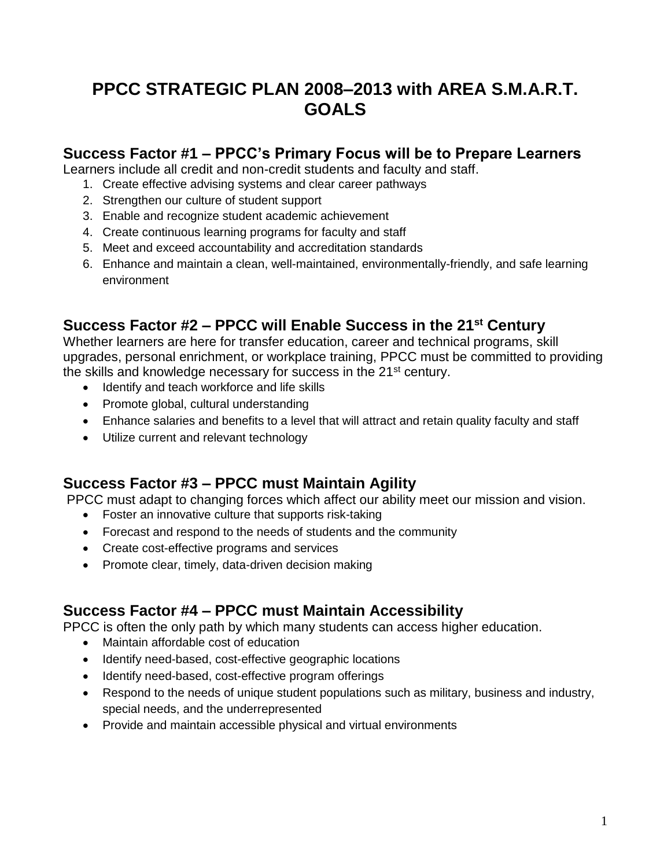# **PPCC STRATEGIC PLAN 2008–2013 with AREA S.M.A.R.T. GOALS**

## **Success Factor #1 – PPCC's Primary Focus will be to Prepare Learners**

Learners include all credit and non-credit students and faculty and staff.

- 1. Create effective advising systems and clear career pathways
- 2. Strengthen our culture of student support
- 3. Enable and recognize student academic achievement
- 4. Create continuous learning programs for faculty and staff
- 5. Meet and exceed accountability and accreditation standards
- 6. Enhance and maintain a clean, well-maintained, environmentally-friendly, and safe learning environment

## **Success Factor #2 – PPCC will Enable Success in the 21st Century**

Whether learners are here for transfer education, career and technical programs, skill upgrades, personal enrichment, or workplace training, PPCC must be committed to providing the skills and knowledge necessary for success in the 21<sup>st</sup> century.

- Identify and teach workforce and life skills
- Promote global, cultural understanding
- Enhance salaries and benefits to a level that will attract and retain quality faculty and staff
- Utilize current and relevant technology

## **Success Factor #3 – PPCC must Maintain Agility**

PPCC must adapt to changing forces which affect our ability meet our mission and vision.

- Foster an innovative culture that supports risk-taking
- Forecast and respond to the needs of students and the community
- Create cost-effective programs and services
- Promote clear, timely, data-driven decision making

## **Success Factor #4 – PPCC must Maintain Accessibility**

PPCC is often the only path by which many students can access higher education.

- Maintain affordable cost of education
- Identify need-based, cost-effective geographic locations
- Identify need-based, cost-effective program offerings
- Respond to the needs of unique student populations such as military, business and industry, special needs, and the underrepresented
- Provide and maintain accessible physical and virtual environments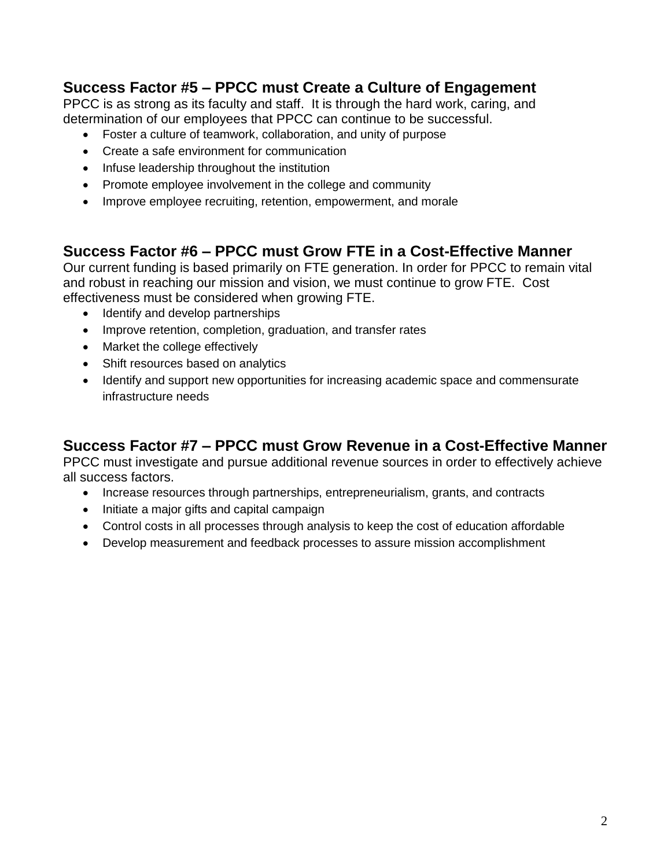## **Success Factor #5 – PPCC must Create a Culture of Engagement**

PPCC is as strong as its faculty and staff. It is through the hard work, caring, and determination of our employees that PPCC can continue to be successful.

- Foster a culture of teamwork, collaboration, and unity of purpose
- Create a safe environment for communication
- Infuse leadership throughout the institution
- Promote employee involvement in the college and community
- Improve employee recruiting, retention, empowerment, and morale

## **Success Factor #6 – PPCC must Grow FTE in a Cost-Effective Manner**

Our current funding is based primarily on FTE generation. In order for PPCC to remain vital and robust in reaching our mission and vision, we must continue to grow FTE. Cost effectiveness must be considered when growing FTE.

- Identify and develop partnerships
- Improve retention, completion, graduation, and transfer rates
- Market the college effectively
- Shift resources based on analytics
- Identify and support new opportunities for increasing academic space and commensurate infrastructure needs

## **Success Factor #7 – PPCC must Grow Revenue in a Cost-Effective Manner**

PPCC must investigate and pursue additional revenue sources in order to effectively achieve all success factors.

- Increase resources through partnerships, entrepreneurialism, grants, and contracts
- Initiate a major gifts and capital campaign
- Control costs in all processes through analysis to keep the cost of education affordable
- Develop measurement and feedback processes to assure mission accomplishment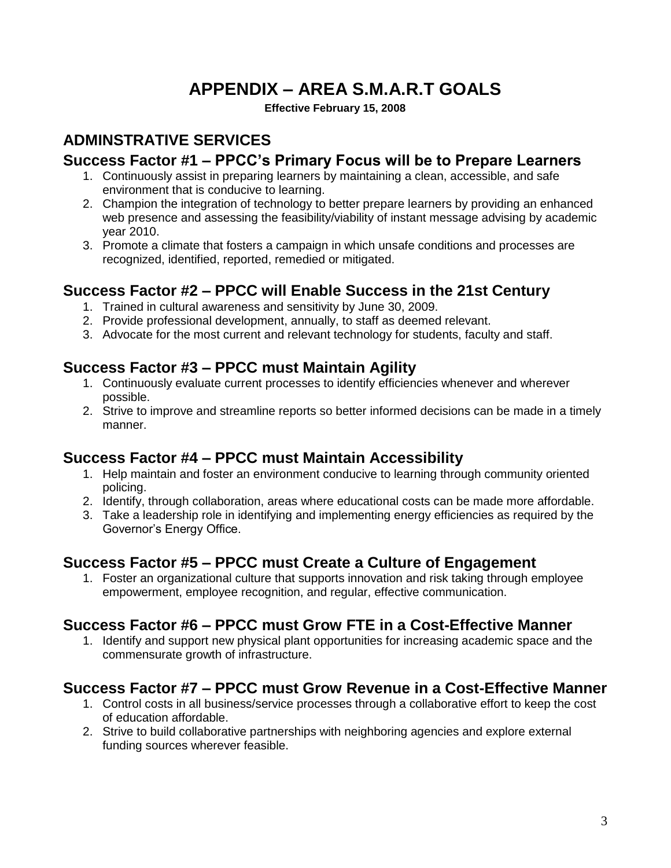# **APPENDIX – AREA S.M.A.R.T GOALS**

**Effective February 15, 2008**

## **ADMINSTRATIVE SERVICES**

## **Success Factor #1 – PPCC's Primary Focus will be to Prepare Learners**

- 1. Continuously assist in preparing learners by maintaining a clean, accessible, and safe environment that is conducive to learning.
- 2. Champion the integration of technology to better prepare learners by providing an enhanced web presence and assessing the feasibility/viability of instant message advising by academic year 2010.
- 3. Promote a climate that fosters a campaign in which unsafe conditions and processes are recognized, identified, reported, remedied or mitigated.

## **Success Factor #2 – PPCC will Enable Success in the 21st Century**

- 1. Trained in cultural awareness and sensitivity by June 30, 2009.
- 2. Provide professional development, annually, to staff as deemed relevant.
- 3. Advocate for the most current and relevant technology for students, faculty and staff.

## **Success Factor #3 – PPCC must Maintain Agility**

- 1. Continuously evaluate current processes to identify efficiencies whenever and wherever possible.
- 2. Strive to improve and streamline reports so better informed decisions can be made in a timely manner.

## **Success Factor #4 – PPCC must Maintain Accessibility**

- 1. Help maintain and foster an environment conducive to learning through community oriented policing.
- 2. Identify, through collaboration, areas where educational costs can be made more affordable.
- 3. Take a leadership role in identifying and implementing energy efficiencies as required by the Governor's Energy Office.

## **Success Factor #5 – PPCC must Create a Culture of Engagement**

1. Foster an organizational culture that supports innovation and risk taking through employee empowerment, employee recognition, and regular, effective communication.

## **Success Factor #6 – PPCC must Grow FTE in a Cost-Effective Manner**

1. Identify and support new physical plant opportunities for increasing academic space and the commensurate growth of infrastructure.

## **Success Factor #7 – PPCC must Grow Revenue in a Cost-Effective Manner**

- 1. Control costs in all business/service processes through a collaborative effort to keep the cost of education affordable.
- 2. Strive to build collaborative partnerships with neighboring agencies and explore external funding sources wherever feasible.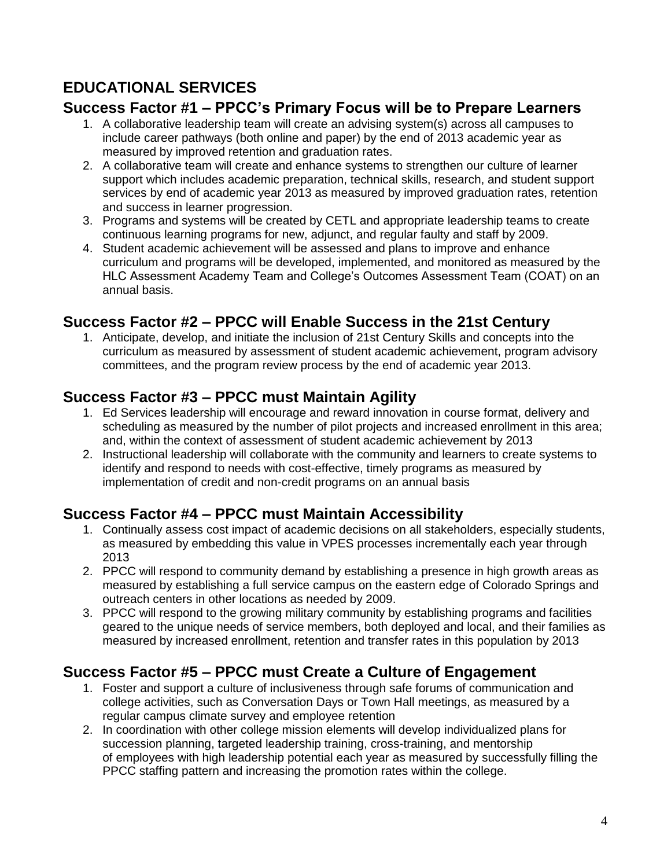# **EDUCATIONAL SERVICES**

## **Success Factor #1 – PPCC's Primary Focus will be to Prepare Learners**

- 1. A collaborative leadership team will create an advising system(s) across all campuses to include career pathways (both online and paper) by the end of 2013 academic year as measured by improved retention and graduation rates.
- 2. A collaborative team will create and enhance systems to strengthen our culture of learner support which includes academic preparation, technical skills, research, and student support services by end of academic year 2013 as measured by improved graduation rates, retention and success in learner progression.
- 3. Programs and systems will be created by CETL and appropriate leadership teams to create continuous learning programs for new, adjunct, and regular faulty and staff by 2009.
- 4. Student academic achievement will be assessed and plans to improve and enhance curriculum and programs will be developed, implemented, and monitored as measured by the HLC Assessment Academy Team and College's Outcomes Assessment Team (COAT) on an annual basis.

## **Success Factor #2 – PPCC will Enable Success in the 21st Century**

1. Anticipate, develop, and initiate the inclusion of 21st Century Skills and concepts into the curriculum as measured by assessment of student academic achievement, program advisory committees, and the program review process by the end of academic year 2013.

## **Success Factor #3 – PPCC must Maintain Agility**

- 1. Ed Services leadership will encourage and reward innovation in course format, delivery and scheduling as measured by the number of pilot projects and increased enrollment in this area; and, within the context of assessment of student academic achievement by 2013
- 2. Instructional leadership will collaborate with the community and learners to create systems to identify and respond to needs with cost-effective, timely programs as measured by implementation of credit and non-credit programs on an annual basis

## **Success Factor #4 – PPCC must Maintain Accessibility**

- 1. Continually assess cost impact of academic decisions on all stakeholders, especially students, as measured by embedding this value in VPES processes incrementally each year through 2013
- 2. PPCC will respond to community demand by establishing a presence in high growth areas as measured by establishing a full service campus on the eastern edge of Colorado Springs and outreach centers in other locations as needed by 2009.
- 3. PPCC will respond to the growing military community by establishing programs and facilities geared to the unique needs of service members, both deployed and local, and their families as measured by increased enrollment, retention and transfer rates in this population by 2013

## **Success Factor #5 – PPCC must Create a Culture of Engagement**

- 1. Foster and support a culture of inclusiveness through safe forums of communication and college activities, such as Conversation Days or Town Hall meetings, as measured by a regular campus climate survey and employee retention
- 2. In coordination with other college mission elements will develop individualized plans for succession planning, targeted leadership training, cross-training, and mentorship of employees with high leadership potential each year as measured by successfully filling the PPCC staffing pattern and increasing the promotion rates within the college.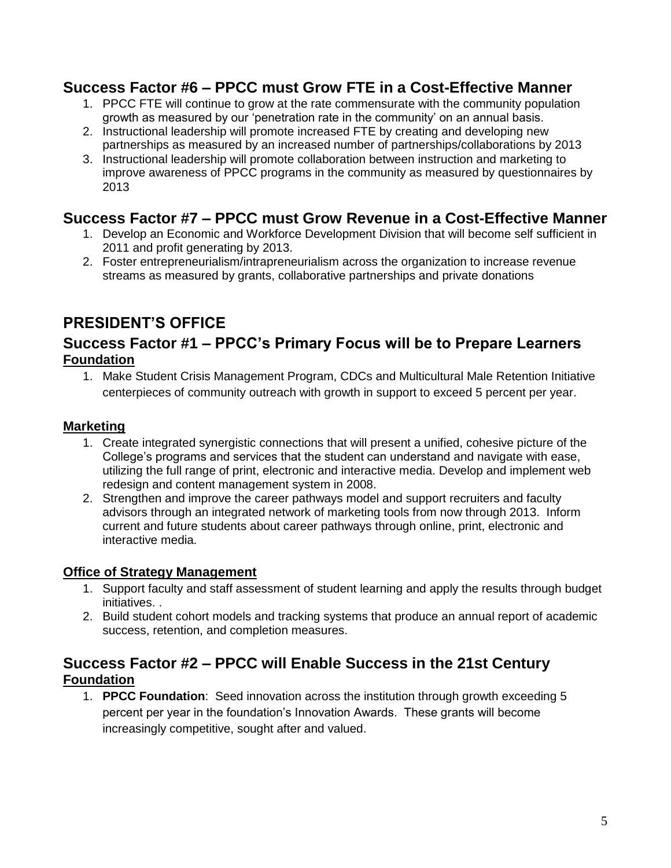## **Success Factor #6 – PPCC must Grow FTE in a Cost-Effective Manner**

- 1. PPCC FTE will continue to grow at the rate commensurate with the community population growth as measured by our 'penetration rate in the community' on an annual basis.
- 2. Instructional leadership will promote increased FTE by creating and developing new partnerships as measured by an increased number of partnerships/collaborations by 2013
- 3. Instructional leadership will promote collaboration between instruction and marketing to improve awareness of PPCC programs in the community as measured by questionnaires by 2013

## **Success Factor #7 – PPCC must Grow Revenue in a Cost-Effective Manner**

- 1. Develop an Economic and Workforce Development Division that will become self sufficient in 2011 and profit generating by 2013.
- 2. Foster entrepreneurialism/intrapreneurialism across the organization to increase revenue streams as measured by grants, collaborative partnerships and private donations

## **PRESIDENT'S OFFICE**

## **Success Factor #1 – PPCC's Primary Focus will be to Prepare Learners Foundation**

1. Make Student Crisis Management Program, CDCs and Multicultural Male Retention Initiative centerpieces of community outreach with growth in support to exceed 5 percent per year.

### **Marketing**

- 1. Create integrated synergistic connections that will present a unified, cohesive picture of the College's programs and services that the student can understand and navigate with ease, utilizing the full range of print, electronic and interactive media. Develop and implement web redesign and content management system in 2008.
- 2. Strengthen and improve the career pathways model and support recruiters and faculty advisors through an integrated network of marketing tools from now through 2013. Inform current and future students about career pathways through online, print, electronic and interactive media.

### **Office of Strategy Management**

- 1. Support faculty and staff assessment of student learning and apply the results through budget initiatives. .
- 2. Build student cohort models and tracking systems that produce an annual report of academic success, retention, and completion measures.

## **Success Factor #2 – PPCC will Enable Success in the 21st Century Foundation**

1. **PPCC Foundation**: Seed innovation across the institution through growth exceeding 5 percent per year in the foundation's Innovation Awards. These grants will become increasingly competitive, sought after and valued.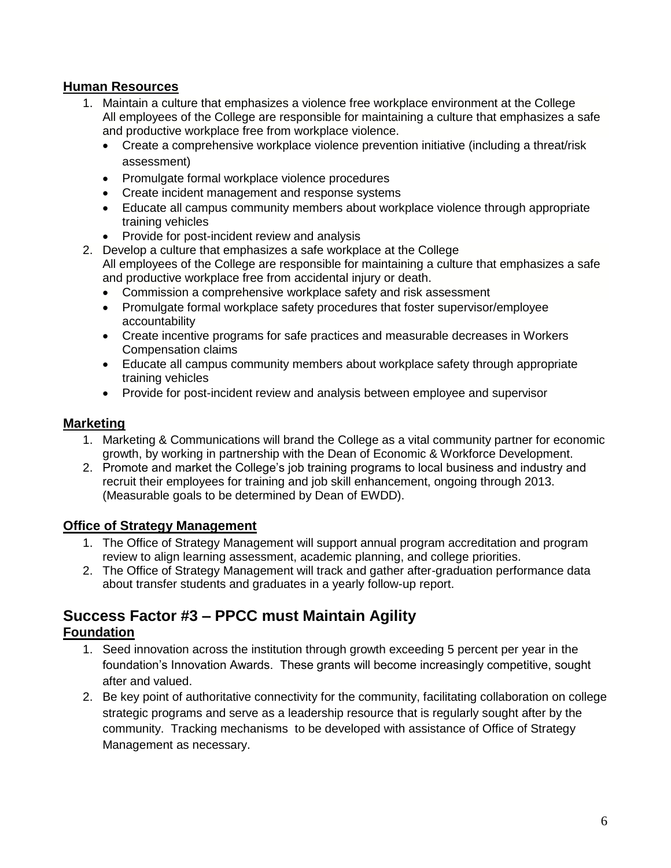### **Human Resources**

- 1. Maintain a culture that emphasizes a violence free workplace environment at the College All employees of the College are responsible for maintaining a culture that emphasizes a safe and productive workplace free from workplace violence.
	- Create a comprehensive workplace violence prevention initiative (including a threat/risk assessment)
	- Promulgate formal workplace violence procedures
	- Create incident management and response systems
	- Educate all campus community members about workplace violence through appropriate training vehicles
	- Provide for post-incident review and analysis
- 2. Develop a culture that emphasizes a safe workplace at the College All employees of the College are responsible for maintaining a culture that emphasizes a safe and productive workplace free from accidental injury or death.
	- Commission a comprehensive workplace safety and risk assessment
	- Promulgate formal workplace safety procedures that foster supervisor/employee accountability
	- Create incentive programs for safe practices and measurable decreases in Workers Compensation claims
	- Educate all campus community members about workplace safety through appropriate training vehicles
	- Provide for post-incident review and analysis between employee and supervisor

#### **Marketing**

- 1. Marketing & Communications will brand the College as a vital community partner for economic growth, by working in partnership with the Dean of Economic & Workforce Development.
- 2. Promote and market the College's job training programs to local business and industry and recruit their employees for training and job skill enhancement, ongoing through 2013. (Measurable goals to be determined by Dean of EWDD).

### **Office of Strategy Management**

- 1. The Office of Strategy Management will support annual program accreditation and program review to align learning assessment, academic planning, and college priorities.
- 2. The Office of Strategy Management will track and gather after-graduation performance data about transfer students and graduates in a yearly follow-up report.

# **Success Factor #3 – PPCC must Maintain Agility**

#### **Foundation**

- 1. Seed innovation across the institution through growth exceeding 5 percent per year in the foundation's Innovation Awards. These grants will become increasingly competitive, sought after and valued.
- 2. Be key point of authoritative connectivity for the community, facilitating collaboration on college strategic programs and serve as a leadership resource that is regularly sought after by the community. Tracking mechanisms to be developed with assistance of Office of Strategy Management as necessary.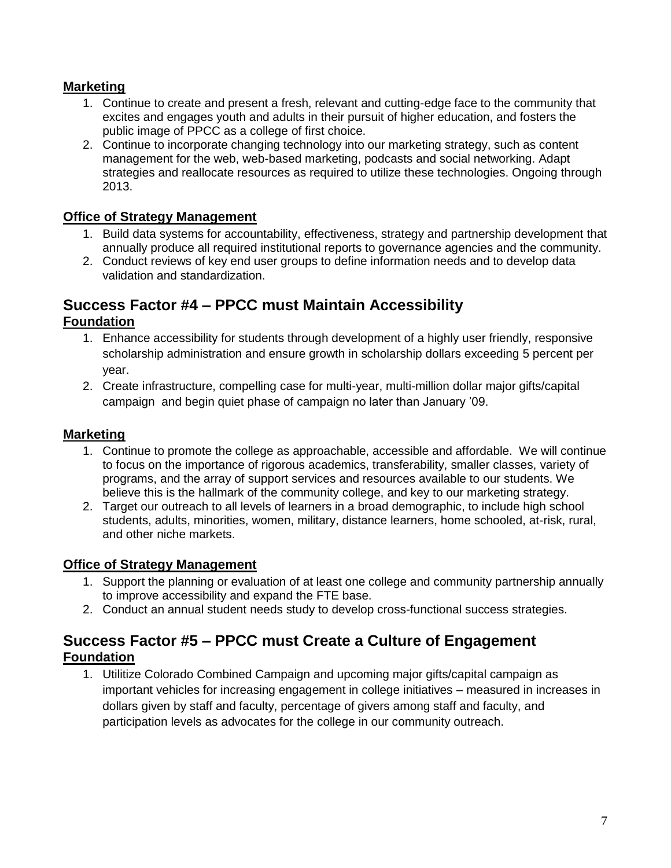### **Marketing**

- 1. Continue to create and present a fresh, relevant and cutting-edge face to the community that excites and engages youth and adults in their pursuit of higher education, and fosters the public image of PPCC as a college of first choice.
- 2. Continue to incorporate changing technology into our marketing strategy, such as content management for the web, web-based marketing, podcasts and social networking. Adapt strategies and reallocate resources as required to utilize these technologies. Ongoing through 2013.

#### **Office of Strategy Management**

- 1. Build data systems for accountability, effectiveness, strategy and partnership development that annually produce all required institutional reports to governance agencies and the community.
- 2. Conduct reviews of key end user groups to define information needs and to develop data validation and standardization.

### **Success Factor #4 – PPCC must Maintain Accessibility Foundation**

- 1. Enhance accessibility for students through development of a highly user friendly, responsive scholarship administration and ensure growth in scholarship dollars exceeding 5 percent per year.
- 2. Create infrastructure, compelling case for multi-year, multi-million dollar major gifts/capital campaign and begin quiet phase of campaign no later than January '09.

### **Marketing**

- 1. Continue to promote the college as approachable, accessible and affordable. We will continue to focus on the importance of rigorous academics, transferability, smaller classes, variety of programs, and the array of support services and resources available to our students. We believe this is the hallmark of the community college, and key to our marketing strategy.
- 2. Target our outreach to all levels of learners in a broad demographic, to include high school students, adults, minorities, women, military, distance learners, home schooled, at-risk, rural, and other niche markets.

### **Office of Strategy Management**

- 1. Support the planning or evaluation of at least one college and community partnership annually to improve accessibility and expand the FTE base.
- 2. Conduct an annual student needs study to develop cross-functional success strategies.

## **Success Factor #5 – PPCC must Create a Culture of Engagement Foundation**

1. Utilitize Colorado Combined Campaign and upcoming major gifts/capital campaign as important vehicles for increasing engagement in college initiatives – measured in increases in dollars given by staff and faculty, percentage of givers among staff and faculty, and participation levels as advocates for the college in our community outreach.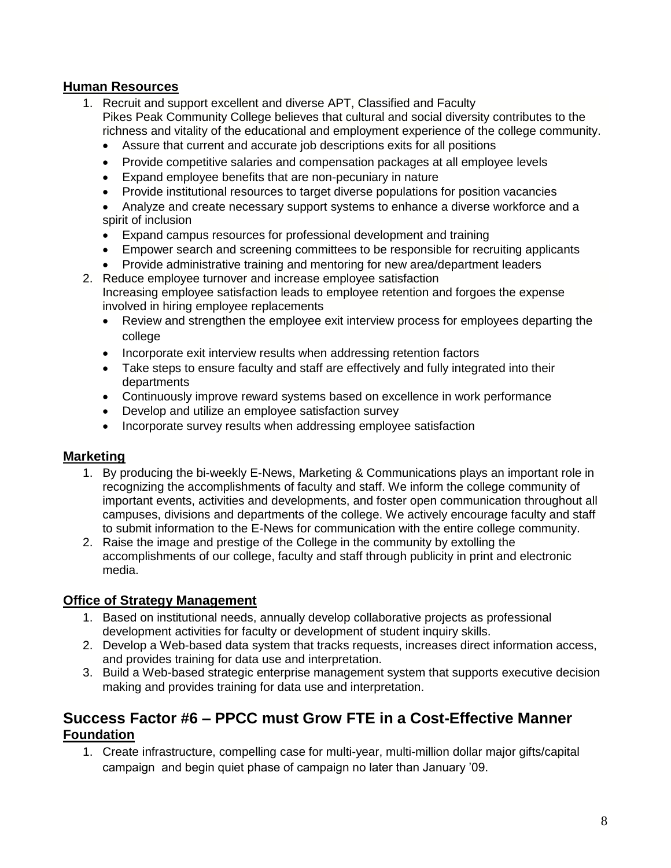### **Human Resources**

- 1. Recruit and support excellent and diverse APT, Classified and Faculty Pikes Peak Community College believes that cultural and social diversity contributes to the richness and vitality of the educational and employment experience of the college community.
	- Assure that current and accurate job descriptions exits for all positions
	- Provide competitive salaries and compensation packages at all employee levels
	- Expand employee benefits that are non-pecuniary in nature
	- Provide institutional resources to target diverse populations for position vacancies

 Analyze and create necessary support systems to enhance a diverse workforce and a spirit of inclusion

- Expand campus resources for professional development and training
- Empower search and screening committees to be responsible for recruiting applicants
- Provide administrative training and mentoring for new area/department leaders 2. Reduce employee turnover and increase employee satisfaction
	- Increasing employee satisfaction leads to employee retention and forgoes the expense involved in hiring employee replacements
		- Review and strengthen the employee exit interview process for employees departing the college
		- Incorporate exit interview results when addressing retention factors
		- Take steps to ensure faculty and staff are effectively and fully integrated into their departments
		- Continuously improve reward systems based on excellence in work performance
		- Develop and utilize an employee satisfaction survey
		- Incorporate survey results when addressing employee satisfaction

#### **Marketing**

- 1. By producing the bi-weekly E-News, Marketing & Communications plays an important role in recognizing the accomplishments of faculty and staff. We inform the college community of important events, activities and developments, and foster open communication throughout all campuses, divisions and departments of the college. We actively encourage faculty and staff to submit information to the E-News for communication with the entire college community.
- 2. Raise the image and prestige of the College in the community by extolling the accomplishments of our college, faculty and staff through publicity in print and electronic media.

#### **Office of Strategy Management**

- 1. Based on institutional needs, annually develop collaborative projects as professional development activities for faculty or development of student inquiry skills.
- 2. Develop a Web-based data system that tracks requests, increases direct information access, and provides training for data use and interpretation.
- 3. Build a Web-based strategic enterprise management system that supports executive decision making and provides training for data use and interpretation.

## **Success Factor #6 – PPCC must Grow FTE in a Cost-Effective Manner Foundation**

1. Create infrastructure, compelling case for multi-year, multi-million dollar major gifts/capital campaign and begin quiet phase of campaign no later than January '09.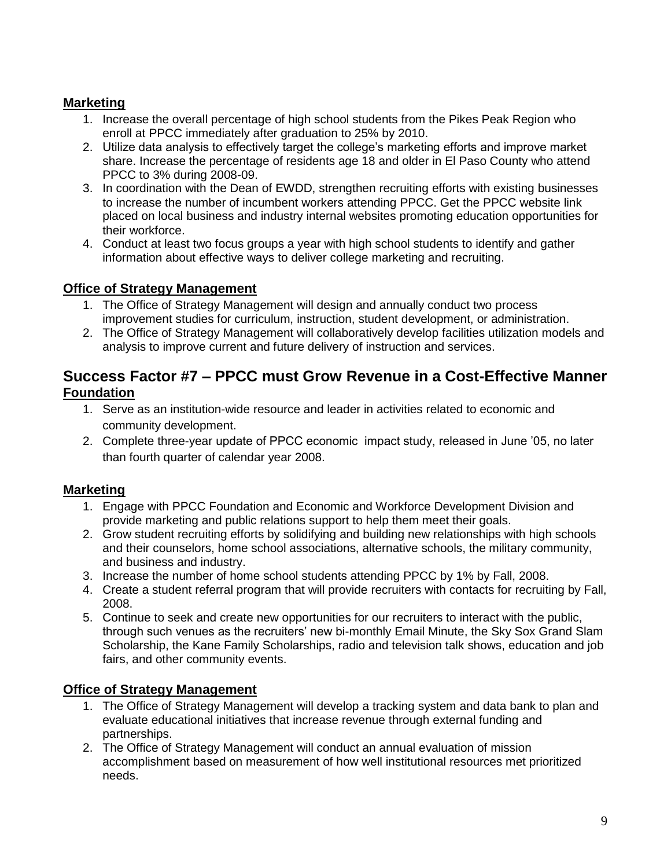## **Marketing**

- 1. Increase the overall percentage of high school students from the Pikes Peak Region who enroll at PPCC immediately after graduation to 25% by 2010.
- 2. Utilize data analysis to effectively target the college's marketing efforts and improve market share. Increase the percentage of residents age 18 and older in El Paso County who attend PPCC to 3% during 2008-09.
- 3. In coordination with the Dean of EWDD, strengthen recruiting efforts with existing businesses to increase the number of incumbent workers attending PPCC. Get the PPCC website link placed on local business and industry internal websites promoting education opportunities for their workforce.
- 4. Conduct at least two focus groups a year with high school students to identify and gather information about effective ways to deliver college marketing and recruiting.

## **Office of Strategy Management**

- 1. The Office of Strategy Management will design and annually conduct two process improvement studies for curriculum, instruction, student development, or administration.
- 2. The Office of Strategy Management will collaboratively develop facilities utilization models and analysis to improve current and future delivery of instruction and services.

## **Success Factor #7 – PPCC must Grow Revenue in a Cost-Effective Manner Foundation**

- 1. Serve as an institution-wide resource and leader in activities related to economic and community development.
- 2. Complete three-year update of PPCC economic impact study, released in June '05, no later than fourth quarter of calendar year 2008.

## **Marketing**

- 1. Engage with PPCC Foundation and Economic and Workforce Development Division and provide marketing and public relations support to help them meet their goals.
- 2. Grow student recruiting efforts by solidifying and building new relationships with high schools and their counselors, home school associations, alternative schools, the military community, and business and industry.
- 3. Increase the number of home school students attending PPCC by 1% by Fall, 2008.
- 4. Create a student referral program that will provide recruiters with contacts for recruiting by Fall, 2008.
- 5. Continue to seek and create new opportunities for our recruiters to interact with the public, through such venues as the recruiters' new bi-monthly Email Minute, the Sky Sox Grand Slam Scholarship, the Kane Family Scholarships, radio and television talk shows, education and job fairs, and other community events.

## **Office of Strategy Management**

- 1. The Office of Strategy Management will develop a tracking system and data bank to plan and evaluate educational initiatives that increase revenue through external funding and partnerships.
- 2. The Office of Strategy Management will conduct an annual evaluation of mission accomplishment based on measurement of how well institutional resources met prioritized needs.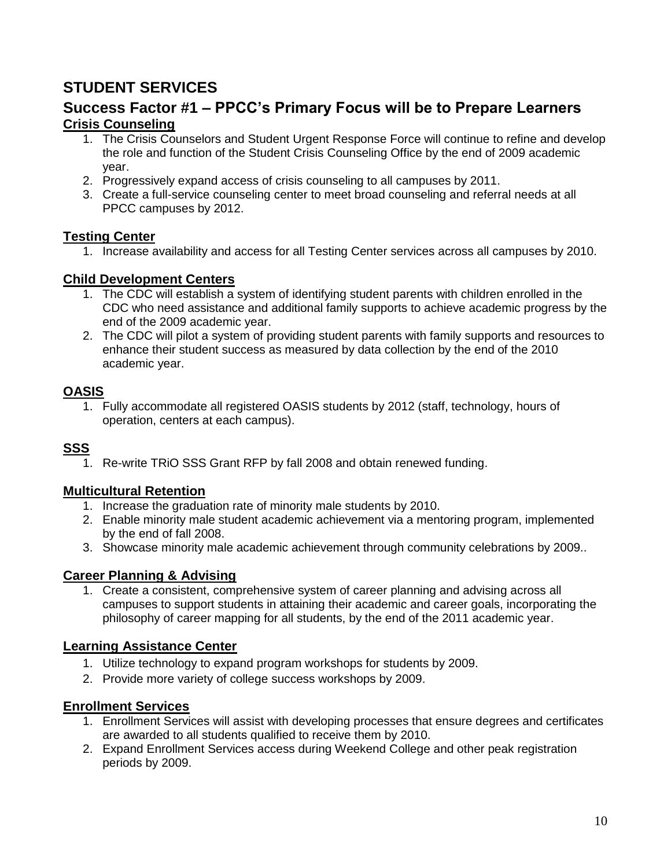## **STUDENT SERVICES**

## **Success Factor #1 – PPCC's Primary Focus will be to Prepare Learners Crisis Counseling**

- 1. The Crisis Counselors and Student Urgent Response Force will continue to refine and develop the role and function of the Student Crisis Counseling Office by the end of 2009 academic year.
- 2. Progressively expand access of crisis counseling to all campuses by 2011.
- 3. Create a full-service counseling center to meet broad counseling and referral needs at all PPCC campuses by 2012.

#### **Testing Center**

1. Increase availability and access for all Testing Center services across all campuses by 2010.

#### **Child Development Centers**

- 1. The CDC will establish a system of identifying student parents with children enrolled in the CDC who need assistance and additional family supports to achieve academic progress by the end of the 2009 academic year.
- 2. The CDC will pilot a system of providing student parents with family supports and resources to enhance their student success as measured by data collection by the end of the 2010 academic year.

## **OASIS**

1. Fully accommodate all registered OASIS students by 2012 (staff, technology, hours of operation, centers at each campus).

### **SSS**

1. Re-write TRiO SSS Grant RFP by fall 2008 and obtain renewed funding.

### **Multicultural Retention**

- 1. Increase the graduation rate of minority male students by 2010.
- 2. Enable minority male student academic achievement via a mentoring program, implemented by the end of fall 2008.
- 3. Showcase minority male academic achievement through community celebrations by 2009..

### **Career Planning & Advising**

1. Create a consistent, comprehensive system of career planning and advising across all campuses to support students in attaining their academic and career goals, incorporating the philosophy of career mapping for all students, by the end of the 2011 academic year.

### **Learning Assistance Center**

- 1. Utilize technology to expand program workshops for students by 2009.
- 2. Provide more variety of college success workshops by 2009.

- 1. Enrollment Services will assist with developing processes that ensure degrees and certificates are awarded to all students qualified to receive them by 2010.
- 2. Expand Enrollment Services access during Weekend College and other peak registration periods by 2009.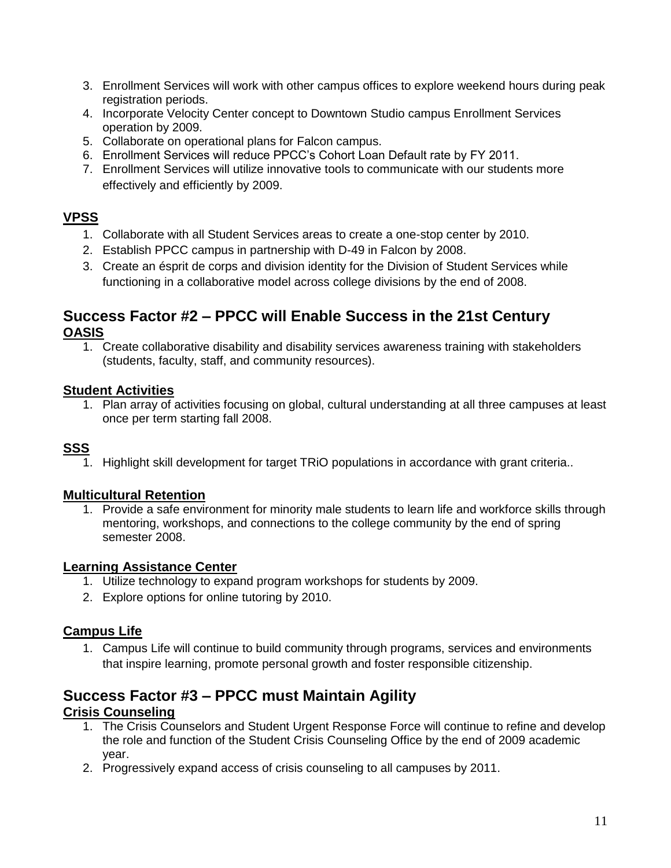- 3. Enrollment Services will work with other campus offices to explore weekend hours during peak registration periods.
- 4. Incorporate Velocity Center concept to Downtown Studio campus Enrollment Services operation by 2009.
- 5. Collaborate on operational plans for Falcon campus.
- 6. Enrollment Services will reduce PPCC's Cohort Loan Default rate by FY 2011.
- 7. Enrollment Services will utilize innovative tools to communicate with our students more effectively and efficiently by 2009.

### **VPSS**

- 1. Collaborate with all Student Services areas to create a one-stop center by 2010.
- 2. Establish PPCC campus in partnership with D-49 in Falcon by 2008.
- 3. Create an ésprit de corps and division identity for the Division of Student Services while functioning in a collaborative model across college divisions by the end of 2008.

## **Success Factor #2 – PPCC will Enable Success in the 21st Century OASIS**

1. Create collaborative disability and disability services awareness training with stakeholders (students, faculty, staff, and community resources).

## **Student Activities**

1. Plan array of activities focusing on global, cultural understanding at all three campuses at least once per term starting fall 2008.

## **SSS**

1. Highlight skill development for target TRiO populations in accordance with grant criteria..

### **Multicultural Retention**

1. Provide a safe environment for minority male students to learn life and workforce skills through mentoring, workshops, and connections to the college community by the end of spring semester 2008.

### **Learning Assistance Center**

- 1. Utilize technology to expand program workshops for students by 2009.
- 2. Explore options for online tutoring by 2010.

## **Campus Life**

1. Campus Life will continue to build community through programs, services and environments that inspire learning, promote personal growth and foster responsible citizenship.

#### **Success Factor #3 – PPCC must Maintain Agility Crisis Counseling**

- 1. The Crisis Counselors and Student Urgent Response Force will continue to refine and develop the role and function of the Student Crisis Counseling Office by the end of 2009 academic year.
- 2. Progressively expand access of crisis counseling to all campuses by 2011.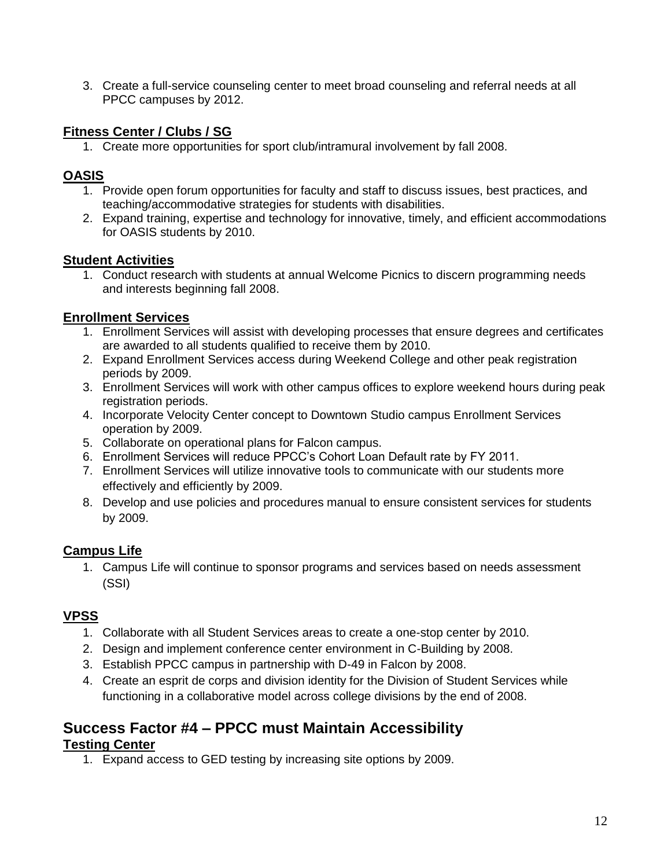3. Create a full-service counseling center to meet broad counseling and referral needs at all PPCC campuses by 2012.

## **Fitness Center / Clubs / SG**

1. Create more opportunities for sport club/intramural involvement by fall 2008.

## **OASIS**

- 1. Provide open forum opportunities for faculty and staff to discuss issues, best practices, and teaching/accommodative strategies for students with disabilities.
- 2. Expand training, expertise and technology for innovative, timely, and efficient accommodations for OASIS students by 2010.

### **Student Activities**

1. Conduct research with students at annual Welcome Picnics to discern programming needs and interests beginning fall 2008.

## **Enrollment Services**

- 1. Enrollment Services will assist with developing processes that ensure degrees and certificates are awarded to all students qualified to receive them by 2010.
- 2. Expand Enrollment Services access during Weekend College and other peak registration periods by 2009.
- 3. Enrollment Services will work with other campus offices to explore weekend hours during peak registration periods.
- 4. Incorporate Velocity Center concept to Downtown Studio campus Enrollment Services operation by 2009.
- 5. Collaborate on operational plans for Falcon campus.
- 6. Enrollment Services will reduce PPCC's Cohort Loan Default rate by FY 2011.
- 7. Enrollment Services will utilize innovative tools to communicate with our students more effectively and efficiently by 2009.
- 8. Develop and use policies and procedures manual to ensure consistent services for students by 2009.

## **Campus Life**

1. Campus Life will continue to sponsor programs and services based on needs assessment (SSI)

## **VPSS**

- 1. Collaborate with all Student Services areas to create a one-stop center by 2010.
- 2. Design and implement conference center environment in C-Building by 2008.
- 3. Establish PPCC campus in partnership with D-49 in Falcon by 2008.
- 4. Create an esprit de corps and division identity for the Division of Student Services while functioning in a collaborative model across college divisions by the end of 2008.

#### **Success Factor #4 – PPCC must Maintain Accessibility Testing Center**

1. Expand access to GED testing by increasing site options by 2009.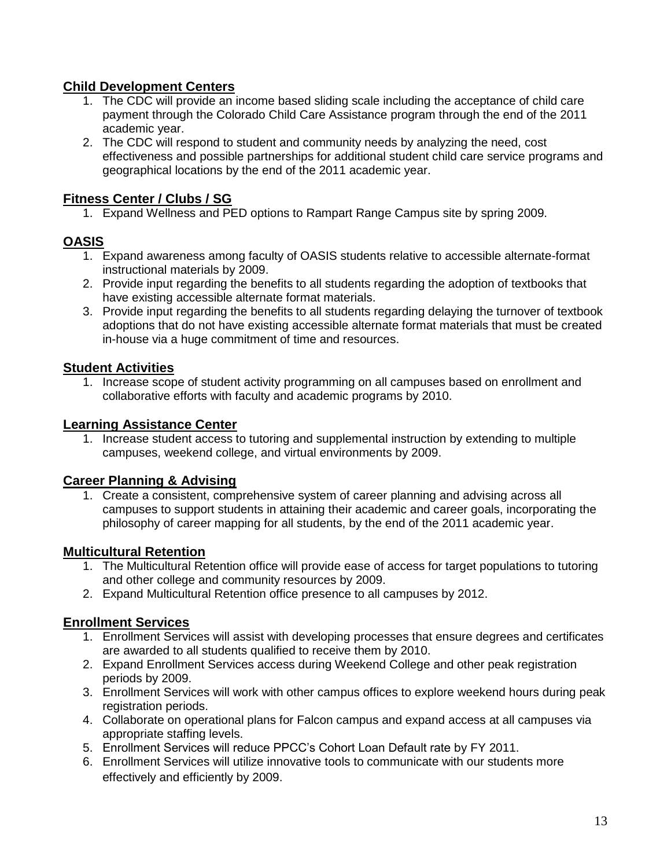### **Child Development Centers**

- 1. The CDC will provide an income based sliding scale including the acceptance of child care payment through the Colorado Child Care Assistance program through the end of the 2011 academic year.
- 2. The CDC will respond to student and community needs by analyzing the need, cost effectiveness and possible partnerships for additional student child care service programs and geographical locations by the end of the 2011 academic year.

### **Fitness Center / Clubs / SG**

1. Expand Wellness and PED options to Rampart Range Campus site by spring 2009.

### **OASIS**

- 1. Expand awareness among faculty of OASIS students relative to accessible alternate-format instructional materials by 2009.
- 2. Provide input regarding the benefits to all students regarding the adoption of textbooks that have existing accessible alternate format materials.
- 3. Provide input regarding the benefits to all students regarding delaying the turnover of textbook adoptions that do not have existing accessible alternate format materials that must be created in-house via a huge commitment of time and resources.

#### **Student Activities**

1. Increase scope of student activity programming on all campuses based on enrollment and collaborative efforts with faculty and academic programs by 2010.

#### **Learning Assistance Center**

1. Increase student access to tutoring and supplemental instruction by extending to multiple campuses, weekend college, and virtual environments by 2009.

#### **Career Planning & Advising**

1. Create a consistent, comprehensive system of career planning and advising across all campuses to support students in attaining their academic and career goals, incorporating the philosophy of career mapping for all students, by the end of the 2011 academic year.

#### **Multicultural Retention**

- 1. The Multicultural Retention office will provide ease of access for target populations to tutoring and other college and community resources by 2009.
- 2. Expand Multicultural Retention office presence to all campuses by 2012.

- 1. Enrollment Services will assist with developing processes that ensure degrees and certificates are awarded to all students qualified to receive them by 2010.
- 2. Expand Enrollment Services access during Weekend College and other peak registration periods by 2009.
- 3. Enrollment Services will work with other campus offices to explore weekend hours during peak registration periods.
- 4. Collaborate on operational plans for Falcon campus and expand access at all campuses via appropriate staffing levels.
- 5. Enrollment Services will reduce PPCC's Cohort Loan Default rate by FY 2011.
- 6. Enrollment Services will utilize innovative tools to communicate with our students more effectively and efficiently by 2009.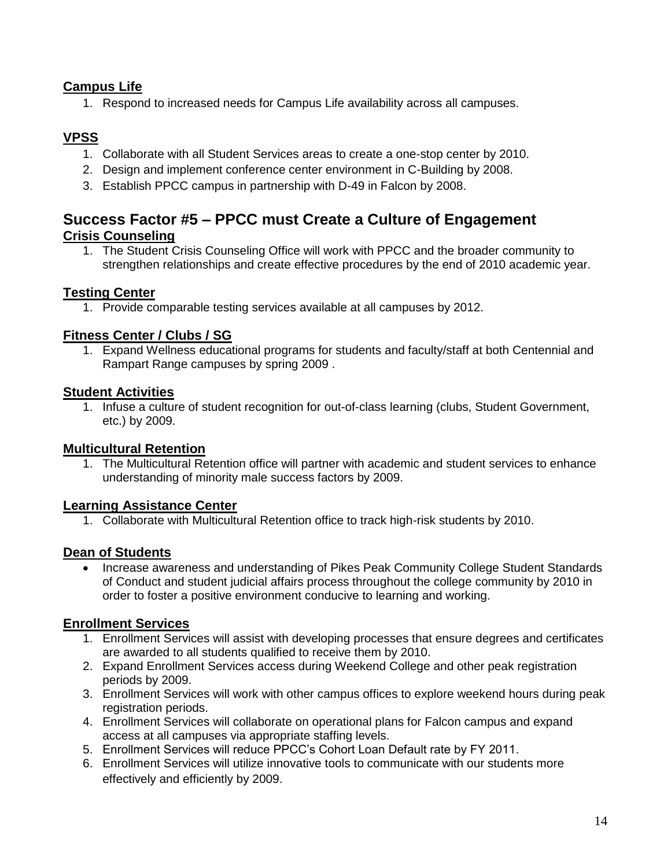## **Campus Life**

1. Respond to increased needs for Campus Life availability across all campuses.

## **VPSS**

- 1. Collaborate with all Student Services areas to create a one-stop center by 2010.
- 2. Design and implement conference center environment in C-Building by 2008.
- 3. Establish PPCC campus in partnership with D-49 in Falcon by 2008.

## **Success Factor #5 – PPCC must Create a Culture of Engagement Crisis Counseling**

1. The Student Crisis Counseling Office will work with PPCC and the broader community to strengthen relationships and create effective procedures by the end of 2010 academic year.

#### **Testing Center**

1. Provide comparable testing services available at all campuses by 2012.

#### **Fitness Center / Clubs / SG**

1. Expand Wellness educational programs for students and faculty/staff at both Centennial and Rampart Range campuses by spring 2009 .

#### **Student Activities**

1. Infuse a culture of student recognition for out-of-class learning (clubs, Student Government, etc.) by 2009.

#### **Multicultural Retention**

1. The Multicultural Retention office will partner with academic and student services to enhance understanding of minority male success factors by 2009.

#### **Learning Assistance Center**

1. Collaborate with Multicultural Retention office to track high-risk students by 2010.

#### **Dean of Students**

 Increase awareness and understanding of Pikes Peak Community College Student Standards of Conduct and student judicial affairs process throughout the college community by 2010 in order to foster a positive environment conducive to learning and working.

- 1. Enrollment Services will assist with developing processes that ensure degrees and certificates are awarded to all students qualified to receive them by 2010.
- 2. Expand Enrollment Services access during Weekend College and other peak registration periods by 2009.
- 3. Enrollment Services will work with other campus offices to explore weekend hours during peak registration periods.
- 4. Enrollment Services will collaborate on operational plans for Falcon campus and expand access at all campuses via appropriate staffing levels.
- 5. Enrollment Services will reduce PPCC's Cohort Loan Default rate by FY 2011.
- 6. Enrollment Services will utilize innovative tools to communicate with our students more effectively and efficiently by 2009.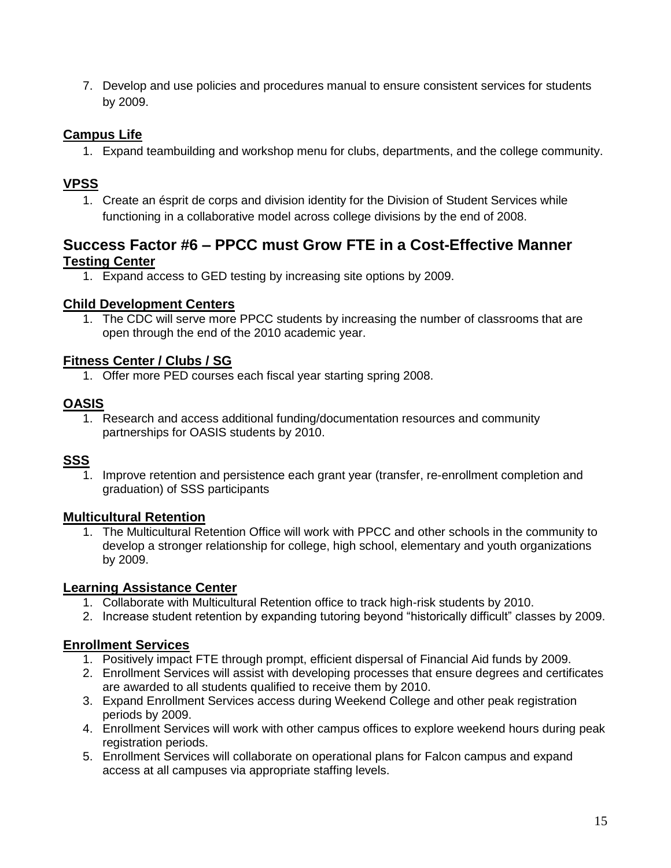7. Develop and use policies and procedures manual to ensure consistent services for students by 2009.

## **Campus Life**

1. Expand teambuilding and workshop menu for clubs, departments, and the college community.

## **VPSS**

1. Create an ésprit de corps and division identity for the Division of Student Services while functioning in a collaborative model across college divisions by the end of 2008.

## **Success Factor #6 – PPCC must Grow FTE in a Cost-Effective Manner Testing Center**

1. Expand access to GED testing by increasing site options by 2009.

#### **Child Development Centers**

1. The CDC will serve more PPCC students by increasing the number of classrooms that are open through the end of the 2010 academic year.

### **Fitness Center / Clubs / SG**

1. Offer more PED courses each fiscal year starting spring 2008.

### **OASIS**

1. Research and access additional funding/documentation resources and community partnerships for OASIS students by 2010.

### **SSS**

1. Improve retention and persistence each grant year (transfer, re-enrollment completion and graduation) of SSS participants

### **Multicultural Retention**

1. The Multicultural Retention Office will work with PPCC and other schools in the community to develop a stronger relationship for college, high school, elementary and youth organizations by 2009.

#### **Learning Assistance Center**

- 1. Collaborate with Multicultural Retention office to track high-risk students by 2010.
- 2. Increase student retention by expanding tutoring beyond "historically difficult" classes by 2009.

- 1. Positively impact FTE through prompt, efficient dispersal of Financial Aid funds by 2009.
- 2. Enrollment Services will assist with developing processes that ensure degrees and certificates are awarded to all students qualified to receive them by 2010.
- 3. Expand Enrollment Services access during Weekend College and other peak registration periods by 2009.
- 4. Enrollment Services will work with other campus offices to explore weekend hours during peak registration periods.
- 5. Enrollment Services will collaborate on operational plans for Falcon campus and expand access at all campuses via appropriate staffing levels.